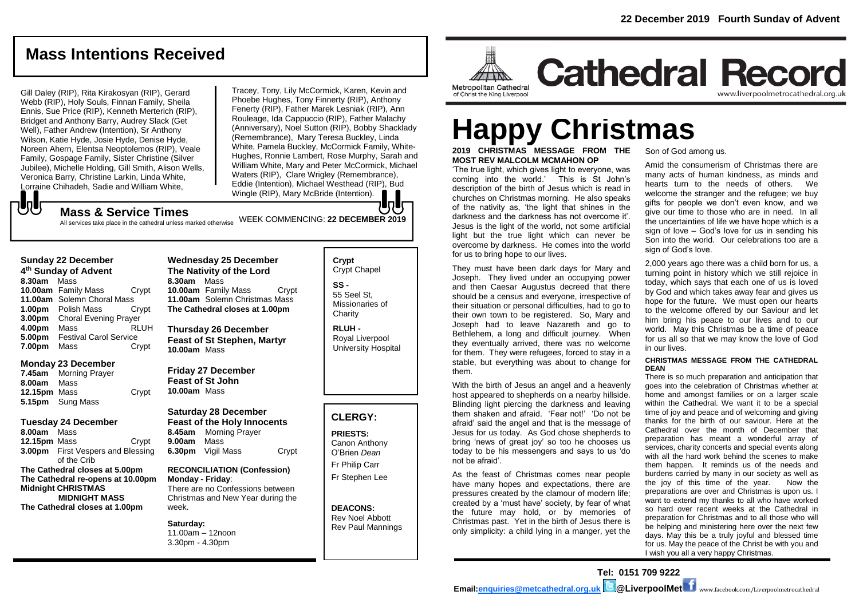# **Mass Intentions Received**

Gill Daley (RIP), Rita Kirakosyan (RIP), Gerard Webb (RIP), Holy Souls, Finnan Family, Sheila Ennis, Sue Price (RIP), Kenneth Merterich (RIP), Bridget and Anthony Barry, Audrey Slack (Get Well), Father Andrew (Intention), Sr Anthony Wilson, Katie Hyde, Josie Hyde, Denise Hyde, Noreen Ahern, Elentsa Neoptolemos (RIP), Veale Family, Gospage Family, Sister Christine (Silver Jubilee), Michelle Holding, Gill Smith, Alison Wells, Veronica Barry, Christine Larkin, Linda White, Lorraine Chihadeh, Sadie and William White,

Tracey, Tony, Lily McCormick, Karen, Kevin and Phoebe Hughes, Tony Finnerty (RIP), Anthony Fenerty (RIP), Father Marek Lesniak (RIP), Ann Rouleage, Ida Cappuccio (RIP), Father Malachy (Anniversary), Noel Sutton (RIP), Bobby Shacklady (Remembrance), Mary Teresa Buckley, Linda White, Pamela Buckley, McCormick Family, White-Hughes, Ronnie Lambert, Rose Murphy, Sarah and William White, Mary and Peter McCormick, Michael Waters (RIP), Clare Wrigley (Remembrance), Eddie (Intention), Michael Westhead (RIP), Bud Wingle (RIP), Mary McBride (Intention).

#### **Mass & Service Times**

WEEK COMMENCING: **22 DECEMBER 2019** All services take place in the cathedral unless marked otherwise

#### **Sunday 22 December 4 th Sunday of Advent**

JJ

**8.30am** Mass **10.00am** Family Mass Crypt **11.00am** Solemn Choral Mass **1.00pm** Polish Mass Crypt **3.00pm** Choral Evening Prayer **4.00pm** Mass RLUH **5.00pm** Festival Carol Service<br>**7.00pm** Mass Crypt **7.00pm** Mass

#### **Monday 23 December**

**7.45am** Morning Prayer **8.00am** Mass **12.15pm** Mass Crypt **5.15pm** Sung Mass

#### **Tuesday 24 December**

**8.00am** Mass **12.15pm** Mass **Crypt 3.00pm** First Vespers and Blessing of the Crib **The Cathedral closes at 5.00pm The Cathedral re-opens at 10.00pm Midnight CHRISTMAS MIDNIGHT MASS The Cathedral closes at 1.00pm**

**Wednesday 25 December The Nativity of the Lord 8.30am** Mass **10.00am** Family Mass Crypt **11.00am** Solemn Christmas Mass **The Cathedral closes at 1.00pm**

**Thursday 26 December Feast of St Stephen, Martyr 10.00am** Mass

**Friday 27 December Feast of St John 10.00am** Mass

#### **Saturday 28 December Feast of the Holy Innocents 8.45am** Morning Prayer **9.00am** Mass **6.30pm** Vigil Mass Crypt

**RECONCILIATION (Confession) Monday - Friday**: There are no Confessions between Christmas and New Year during the week.

#### **Saturday:**

11.00am – 12noon 3.30pm - 4.30pm

#### **Crypt**  Crypt Chapel **SS -** 55 Seel St,

Missionaries of **Charity** 

**RLUH -** Royal Liverpool University Hospital

#### **CLERGY:**

**PRIESTS:** Canon Anthony O'Brien *Dean* Fr Philip Carr

Fr Stephen Lee

#### **DEACONS:** Rev Noel Abbott Rev Paul Mannings



# **Happy Christmas**

**2019 CHRISTMAS MESSAGE FROM THE MOST REV MALCOLM MCMAHON OP**

'The true light, which gives light to everyone, was coming into the world.' This is St John's description of the birth of Jesus which is read in churches on Christmas morning. He also speaks of the nativity as, 'the light that shines in the darkness and the darkness has not overcome it'. Jesus is the light of the world, not some artificial light but the true light which can never be overcome by darkness. He comes into the world for us to bring hope to our lives.

They must have been dark days for Mary and Joseph. They lived under an occupying power and then Caesar Augustus decreed that there should be a census and everyone, irrespective of their situation or personal difficulties, had to go to their own town to be registered. So, Mary and Joseph had to leave Nazareth and go to Bethlehem, a long and difficult journey. When they eventually arrived, there was no welcome for them. They were refugees, forced to stay in a stable, but everything was about to change for them.

With the birth of Jesus an angel and a heavenly host appeared to shepherds on a nearby hillside. Blinding light piercing the darkness and leaving them shaken and afraid. 'Fear not!' 'Do not be afraid' said the angel and that is the message of Jesus for us today. As God chose shepherds to bring 'news of great joy' so too he chooses us today to be his messengers and says to us 'do not be afraid'.

As the feast of Christmas comes near people have many hopes and expectations, there are pressures created by the clamour of modern life; created by a 'must have' society, by fear of what the future may hold, or by memories of Christmas past. Yet in the birth of Jesus there is only simplicity: a child lying in a manger, yet the

Son of God among us.

Amid the consumerism of Christmas there are many acts of human kindness, as minds and hearts turn to the needs of others. We welcome the stranger and the refugee; we buy gifts for people we don't even know, and we give our time to those who are in need. In all the uncertainties of life we have hope which is a sign of love – God's love for us in sending his Son into the world. Our celebrations too are a sign of God's love.

2,000 years ago there was a child born for us, a turning point in history which we still rejoice in today, which says that each one of us is loved by God and which takes away fear and gives us hope for the future. We must open our hearts to the welcome offered by our Saviour and let him bring his peace to our lives and to our world. May this Christmas be a time of peace for us all so that we may know the love of God in our lives.

#### **CHRISTMAS MESSAGE FROM THE CATHEDRAL DEAN**

There is so much preparation and anticipation that goes into the celebration of Christmas whether at home and amongst families or on a larger scale within the Cathedral. We want it to be a special time of joy and peace and of welcoming and giving thanks for the birth of our saviour. Here at the Cathedral over the month of December that preparation has meant a wonderful array of services, charity concerts and special events along with all the hard work behind the scenes to make them happen. It reminds us of the needs and burdens carried by many in our society as well as the joy of this time of the year. Now the preparations are over and Christmas is upon us. I want to extend my thanks to all who have worked so hard over recent weeks at the Cathedral in preparation for Christmas and to all those who will be helping and ministering here over the next few days. May this be a truly joyful and blessed time for us. May the peace of the Christ be with you and I wish you all a very happy Christmas.